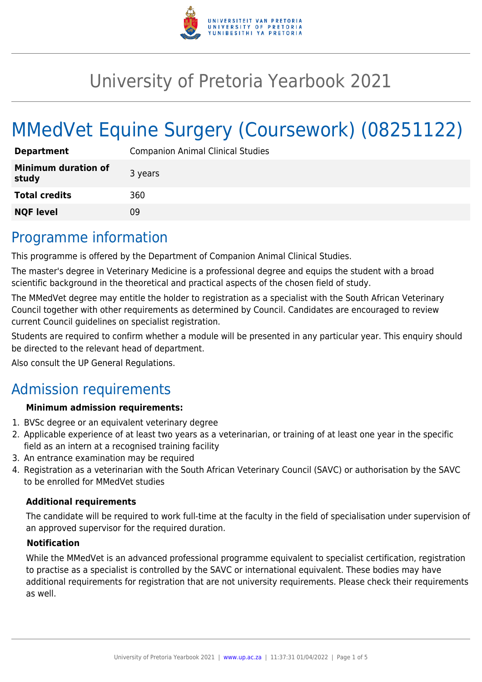

# University of Pretoria Yearbook 2021

# MMedVet Equine Surgery (Coursework) (08251122)

| <b>Department</b>                   | <b>Companion Animal Clinical Studies</b> |
|-------------------------------------|------------------------------------------|
| <b>Minimum duration of</b><br>study | 3 years                                  |
| <b>Total credits</b>                | 360                                      |
| <b>NQF level</b>                    | 09                                       |

### Programme information

This programme is offered by the Department of Companion Animal Clinical Studies.

The master's degree in Veterinary Medicine is a professional degree and equips the student with a broad scientific background in the theoretical and practical aspects of the chosen field of study.

The MMedVet degree may entitle the holder to registration as a specialist with the South African Veterinary Council together with other requirements as determined by Council. Candidates are encouraged to review current Council guidelines on specialist registration.

Students are required to confirm whether a module will be presented in any particular year. This enquiry should be directed to the relevant head of department.

Also consult the UP General Regulations.

### Admission requirements

#### **Minimum admission requirements:**

- 1. BVSc degree or an equivalent veterinary degree
- 2. Applicable experience of at least two years as a veterinarian, or training of at least one year in the specific field as an intern at a recognised training facility
- 3. An entrance examination may be required
- 4. Registration as a veterinarian with the South African Veterinary Council (SAVC) or authorisation by the SAVC to be enrolled for MMedVet studies

#### **Additional requirements**

The candidate will be required to work full-time at the faculty in the field of specialisation under supervision of an approved supervisor for the required duration.

#### **Notification**

While the MMedVet is an advanced professional programme equivalent to specialist certification, registration to practise as a specialist is controlled by the SAVC or international equivalent. These bodies may have additional requirements for registration that are not university requirements. Please check their requirements as well.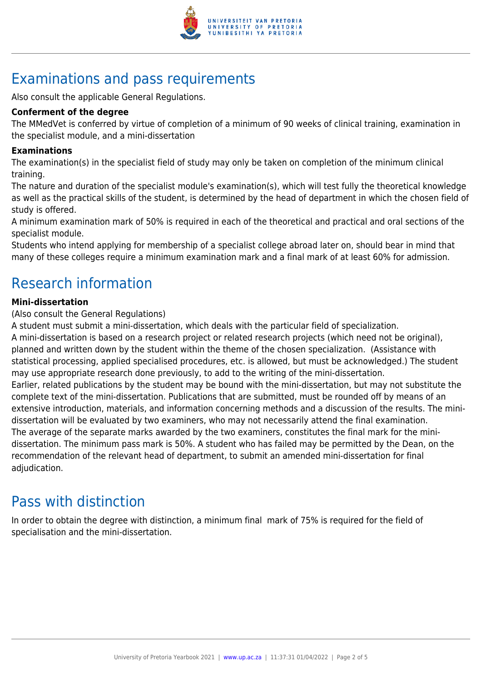

# Examinations and pass requirements

Also consult the applicable General Regulations.

#### **Conferment of the degree**

The MMedVet is conferred by virtue of completion of a minimum of 90 weeks of clinical training, examination in the specialist module, and a mini-dissertation

#### **Examinations**

The examination(s) in the specialist field of study may only be taken on completion of the minimum clinical training.

The nature and duration of the specialist module's examination(s), which will test fully the theoretical knowledge as well as the practical skills of the student, is determined by the head of department in which the chosen field of study is offered.

A minimum examination mark of 50% is required in each of the theoretical and practical and oral sections of the specialist module.

Students who intend applying for membership of a specialist college abroad later on, should bear in mind that many of these colleges require a minimum examination mark and a final mark of at least 60% for admission.

# Research information

#### **Mini-dissertation**

(Also consult the General Regulations)

A student must submit a mini-dissertation, which deals with the particular field of specialization.

A mini-dissertation is based on a research project or related research projects (which need not be original), planned and written down by the student within the theme of the chosen specialization. (Assistance with statistical processing, applied specialised procedures, etc. is allowed, but must be acknowledged.) The student may use appropriate research done previously, to add to the writing of the mini-dissertation. Earlier, related publications by the student may be bound with the mini-dissertation, but may not substitute the complete text of the mini-dissertation. Publications that are submitted, must be rounded off by means of an extensive introduction, materials, and information concerning methods and a discussion of the results. The minidissertation will be evaluated by two examiners, who may not necessarily attend the final examination. The average of the separate marks awarded by the two examiners, constitutes the final mark for the minidissertation. The minimum pass mark is 50%. A student who has failed may be permitted by the Dean, on the recommendation of the relevant head of department, to submit an amended mini-dissertation for final adjudication.

### Pass with distinction

In order to obtain the degree with distinction, a minimum final mark of 75% is required for the field of specialisation and the mini-dissertation.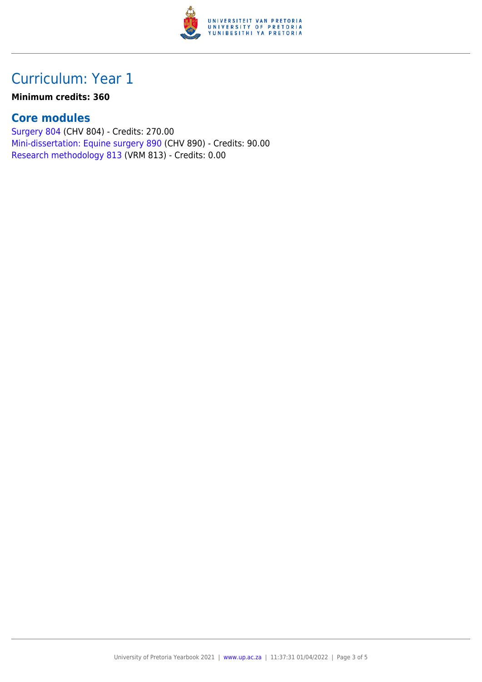

# Curriculum: Year 1

#### **Minimum credits: 360**

#### **Core modules**

[Surgery 804](https://www.up.ac.za/yearbooks/2021/modules/view/CHV 804) (CHV 804) - Credits: 270.00 [Mini-dissertation: Equine surgery 890](https://www.up.ac.za/yearbooks/2021/modules/view/CHV 890) (CHV 890) - Credits: 90.00 [Research methodology 813](https://www.up.ac.za/yearbooks/2021/modules/view/VRM 813) (VRM 813) - Credits: 0.00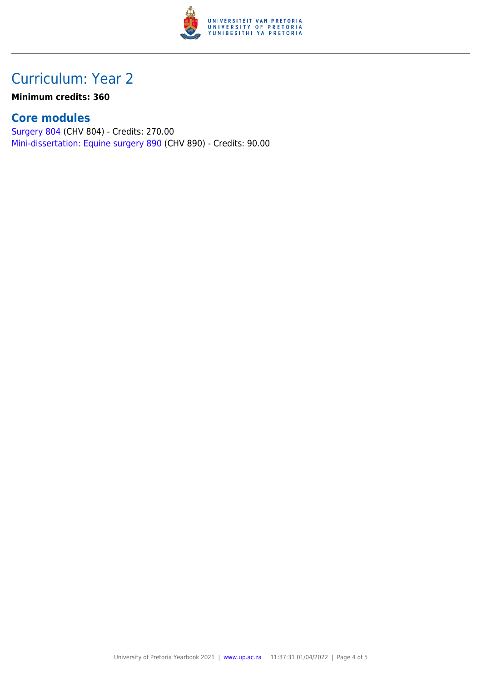

## Curriculum: Year 2

**Minimum credits: 360**

### **Core modules**

[Surgery 804](https://www.up.ac.za/yearbooks/2021/modules/view/CHV 804) (CHV 804) - Credits: 270.00 [Mini-dissertation: Equine surgery 890](https://www.up.ac.za/yearbooks/2021/modules/view/CHV 890) (CHV 890) - Credits: 90.00